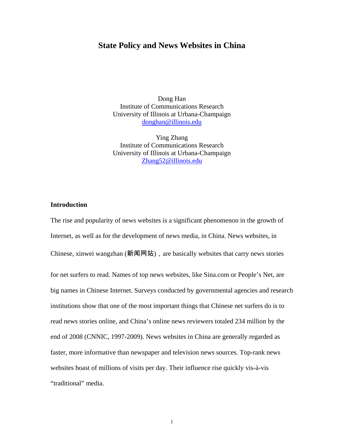## **State Policy and News Websites in China**

Dong Han Institute of Communications Research University of Illinois at Urbana-Champaign donghan@illinois.edu

Ying Zhang Institute of Communications Research University of Illinois at Urbana-Champaign Zhang52@illinois.edu

### **Introduction**

The rise and popularity of news websites is a significant phenomenon in the growth of Internet, as well as for the development of news media, in China. News websites, in Chinese, xinwei wangzhan  $(\frac{2\pi}{\mathbb{R}})$ , are basically websites that carry news stories for net surfers to read. Names of top news websites, like Sina.com or People's Net, are big names in Chinese Internet. Surveys conducted by governmental agencies and research institutions show that one of the most important things that Chinese net surfers do is to read news stories online, and China's online news reviewers totaled 234 million by the end of 2008 (CNNIC, 1997-2009). News websites in China are generally regarded as faster, more informative than newspaper and television news sources. Top-rank news websites boast of millions of visits per day. Their influence rise quickly vis-à-vis "traditional" media.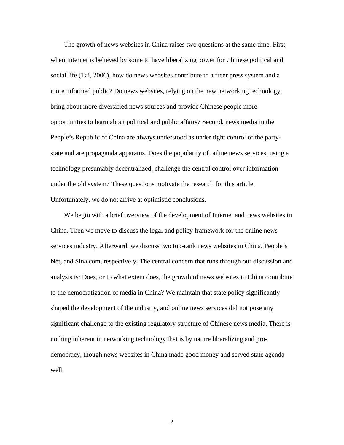The growth of news websites in China raises two questions at the same time. First, when Internet is believed by some to have liberalizing power for Chinese political and social life (Tai, 2006), how do news websites contribute to a freer press system and a more informed public? Do news websites, relying on the new networking technology, bring about more diversified news sources and provide Chinese people more opportunities to learn about political and public affairs? Second, news media in the People's Republic of China are always understood as under tight control of the partystate and are propaganda apparatus. Does the popularity of online news services, using a technology presumably decentralized, challenge the central control over information under the old system? These questions motivate the research for this article. Unfortunately, we do not arrive at optimistic conclusions.

We begin with a brief overview of the development of Internet and news websites in China. Then we move to discuss the legal and policy framework for the online news services industry. Afterward, we discuss two top-rank news websites in China, People's Net, and Sina.com, respectively. The central concern that runs through our discussion and analysis is: Does, or to what extent does, the growth of news websites in China contribute to the democratization of media in China? We maintain that state policy significantly shaped the development of the industry, and online news services did not pose any significant challenge to the existing regulatory structure of Chinese news media. There is nothing inherent in networking technology that is by nature liberalizing and prodemocracy, though news websites in China made good money and served state agenda well.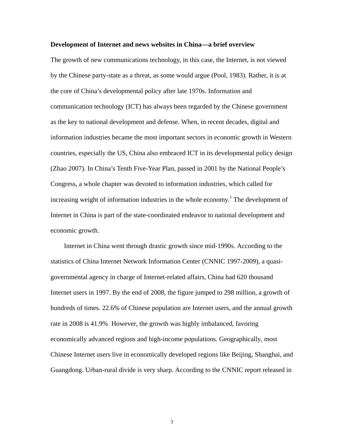#### **Development of Internet and news websites in China—a brief overview**

The growth of new communications technology, in this case, the Internet, is not viewed by the Chinese party-state as a threat, as some would argue (Pool, 1983). Rather, it is at the core of China's developmental policy after late 1970s. Information and communication technology (ICT) has always been regarded by the Chinese government as the key to national development and defense. When, in recent decades, digital and information industries became the most important sectors in economic growth in Western countries, especially the US, China also embraced ICT in its developmental policy design (Zhao 2007). In China's Tenth Five-Year Plan, passed in 2001 by the National People's Congress, a whole chapter was devoted to information industries, which called for increasing weight of information industries in the whole economy.<sup>1</sup> The development of Internet in China is part of the state-coordinated endeavor to national development and economic growth.

Internet in China went through drastic growth since mid-1990s. According to the statistics of China Internet Network Information Center (CNNIC 1997-2009), a quasigovernmental agency in charge of Internet-related affairs, China had 620 thousand Internet users in 1997. By the end of 2008, the figure jumped to 298 million, a growth of hundreds of times. 22.6% of Chinese population are Internet users, and the annual growth rate in 2008 is 41.9%. However, the growth was highly imbalanced, favoring economically advanced regions and high-income populations. Geographically, most Chinese Internet users live in economically developed regions like Beijing, Shanghai, and Guangdong. Urban-rural divide is very sharp. According to the CNNIC report released in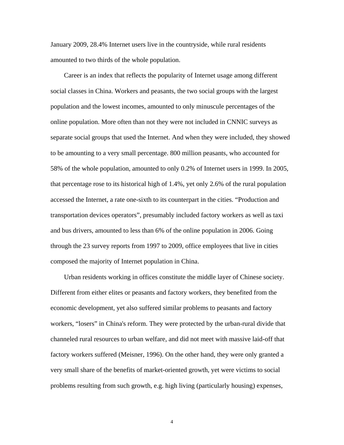January 2009, 28.4% Internet users live in the countryside, while rural residents amounted to two thirds of the whole population.

Career is an index that reflects the popularity of Internet usage among different social classes in China. Workers and peasants, the two social groups with the largest population and the lowest incomes, amounted to only minuscule percentages of the online population. More often than not they were not included in CNNIC surveys as separate social groups that used the Internet. And when they were included, they showed to be amounting to a very small percentage. 800 million peasants, who accounted for 58% of the whole population, amounted to only 0.2% of Internet users in 1999. In 2005, that percentage rose to its historical high of 1.4%, yet only 2.6% of the rural population accessed the Internet, a rate one-sixth to its counterpart in the cities. "Production and transportation devices operators", presumably included factory workers as well as taxi and bus drivers, amounted to less than 6% of the online population in 2006. Going through the 23 survey reports from 1997 to 2009, office employees that live in cities composed the majority of Internet population in China.

Urban residents working in offices constitute the middle layer of Chinese society. Different from either elites or peasants and factory workers, they benefited from the economic development, yet also suffered similar problems to peasants and factory workers, "losers" in China's reform. They were protected by the urban-rural divide that channeled rural resources to urban welfare, and did not meet with massive laid-off that factory workers suffered (Meisner, 1996). On the other hand, they were only granted a very small share of the benefits of market-oriented growth, yet were victims to social problems resulting from such growth, e.g. high living (particularly housing) expenses,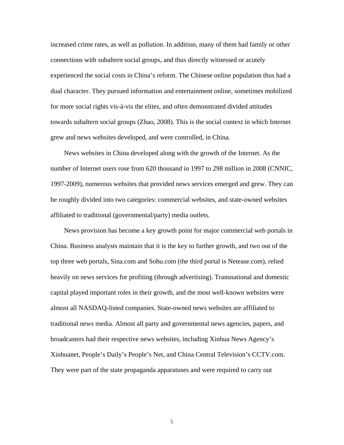increased crime rates, as well as pollution. In addition, many of them had family or other connections with subaltern social groups, and thus directly witnessed or acutely experienced the social costs in China's reform. The Chinese online population thus had a dual character. They pursued information and entertainment online, sometimes mobilized for more social rights vis-à-vis the elites, and often demonstrated divided attitudes towards subaltern social groups (Zhao, 2008). This is the social context in which Internet grew and news websites developed, and were controlled, in China.

News websites in China developed along with the growth of the Internet. As the number of Internet users rose from 620 thousand in 1997 to 298 million in 2008 (CNNIC, 1997-2009), numerous websites that provided news services emerged and grew. They can be roughly divided into two categories: commercial websites, and state-owned websites affiliated to traditional (governmental/party) media outlets.

News provision has become a key growth point for major commercial web portals in China. Business analysts maintain that it is the key to further growth, and two out of the top three web portals, Sina.com and Sohu.com (the third portal is Netease.com), relied heavily on news services for profiting (through advertising). Transnational and domestic capital played important roles in their growth, and the most well-known websites were almost all NASDAQ-listed companies. State-owned news websites are affiliated to traditional news media. Almost all party and governmental news agencies, papers, and broadcasters had their respective news websites, including Xinhua News Agency's Xinhuanet, People's Daily's People's Net, and China Central Television's CCTV.com. They were part of the state propaganda apparatuses and were required to carry out

 $\sim$  5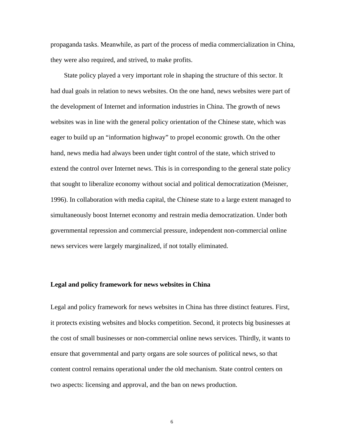propaganda tasks. Meanwhile, as part of the process of media commercialization in China, they were also required, and strived, to make profits.

State policy played a very important role in shaping the structure of this sector. It had dual goals in relation to news websites. On the one hand, news websites were part of the development of Internet and information industries in China. The growth of news websites was in line with the general policy orientation of the Chinese state, which was eager to build up an "information highway" to propel economic growth. On the other hand, news media had always been under tight control of the state, which strived to extend the control over Internet news. This is in corresponding to the general state policy that sought to liberalize economy without social and political democratization (Meisner, 1996). In collaboration with media capital, the Chinese state to a large extent managed to simultaneously boost Internet economy and restrain media democratization. Under both governmental repression and commercial pressure, independent non-commercial online news services were largely marginalized, if not totally eliminated.

#### **Legal and policy framework for news websites in China**

Legal and policy framework for news websites in China has three distinct features. First, it protects existing websites and blocks competition. Second, it protects big businesses at the cost of small businesses or non-commercial online news services. Thirdly, it wants to ensure that governmental and party organs are sole sources of political news, so that content control remains operational under the old mechanism. State control centers on two aspects: licensing and approval, and the ban on news production.

 $\sim$  6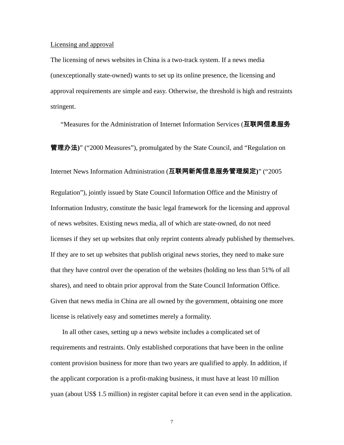#### Licensing and approval

The licensing of news websites in China is a two-track system. If a news media (unexceptionally state-owned) wants to set up its online presence, the licensing and approval requirements are simple and easy. Otherwise, the threshold is high and restraints stringent.

"Measures for the Administration of Internet Information Services (互联网信息服务

管理办法**)**" ("2000 Measures"), promulgated by the State Council, and "Regulation on

Internet News Information Administration (互联网新闻信息服务管理规定**)**" ("2005

Regulation"), jointly issued by State Council Information Office and the Ministry of Information Industry, constitute the basic legal framework for the licensing and approval of news websites. Existing news media, all of which are state-owned, do not need licenses if they set up websites that only reprint contents already published by themselves. If they are to set up websites that publish original news stories, they need to make sure that they have control over the operation of the websites (holding no less than 51% of all shares), and need to obtain prior approval from the State Council Information Office. Given that news media in China are all owned by the government, obtaining one more license is relatively easy and sometimes merely a formality.

 In all other cases, setting up a news website includes a complicated set of requirements and restraints. Only established corporations that have been in the online content provision business for more than two years are qualified to apply. In addition, if the applicant corporation is a profit-making business, it must have at least 10 million yuan (about US\$ 1.5 million) in register capital before it can even send in the application.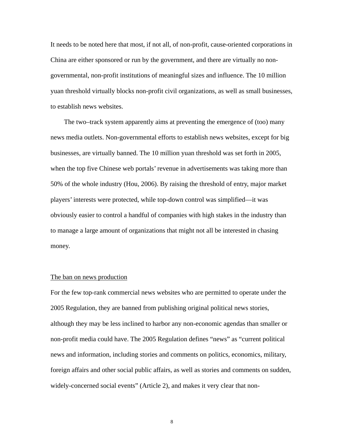It needs to be noted here that most, if not all, of non-profit, cause-oriented corporations in China are either sponsored or run by the government, and there are virtually no nongovernmental, non-profit institutions of meaningful sizes and influence. The 10 million yuan threshold virtually blocks non-profit civil organizations, as well as small businesses, to establish news websites.

The two–track system apparently aims at preventing the emergence of (too) many news media outlets. Non-governmental efforts to establish news websites, except for big businesses, are virtually banned. The 10 million yuan threshold was set forth in 2005, when the top five Chinese web portals' revenue in advertisements was taking more than 50% of the whole industry (Hou, 2006). By raising the threshold of entry, major market players' interests were protected, while top-down control was simplified—it was obviously easier to control a handful of companies with high stakes in the industry than to manage a large amount of organizations that might not all be interested in chasing money.

#### The ban on news production

For the few top-rank commercial news websites who are permitted to operate under the 2005 Regulation, they are banned from publishing original political news stories, although they may be less inclined to harbor any non-economic agendas than smaller or non-profit media could have. The 2005 Regulation defines "news" as "current political news and information, including stories and comments on politics, economics, military, foreign affairs and other social public affairs, as well as stories and comments on sudden, widely-concerned social events" (Article 2), and makes it very clear that non-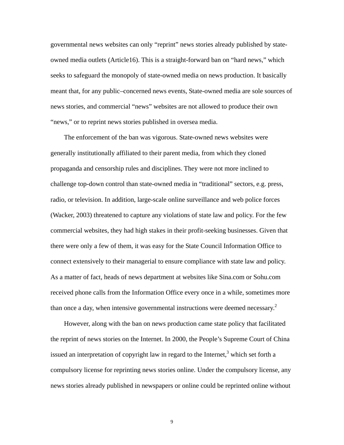governmental news websites can only "reprint" news stories already published by stateowned media outlets (Article16). This is a straight-forward ban on "hard news," which seeks to safeguard the monopoly of state-owned media on news production. It basically meant that, for any public–concerned news events, State-owned media are sole sources of news stories, and commercial "news" websites are not allowed to produce their own "news," or to reprint news stories published in oversea media.

The enforcement of the ban was vigorous. State-owned news websites were generally institutionally affiliated to their parent media, from which they cloned propaganda and censorship rules and disciplines. They were not more inclined to challenge top-down control than state-owned media in "traditional" sectors, e.g. press, radio, or television. In addition, large-scale online surveillance and web police forces (Wacker, 2003) threatened to capture any violations of state law and policy. For the few commercial websites, they had high stakes in their profit-seeking businesses. Given that there were only a few of them, it was easy for the State Council Information Office to connect extensively to their managerial to ensure compliance with state law and policy. As a matter of fact, heads of news department at websites like Sina.com or Sohu.com received phone calls from the Information Office every once in a while, sometimes more than once a day, when intensive governmental instructions were deemed necessary.<sup>2</sup>

However, along with the ban on news production came state policy that facilitated the reprint of news stories on the Internet. In 2000, the People's Supreme Court of China issued an interpretation of copyright law in regard to the Internet, $3$  which set forth a compulsory license for reprinting news stories online. Under the compulsory license, any news stories already published in newspapers or online could be reprinted online without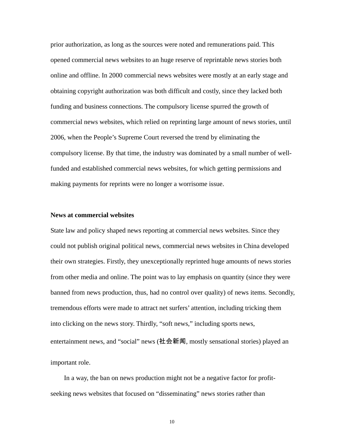prior authorization, as long as the sources were noted and remunerations paid. This opened commercial news websites to an huge reserve of reprintable news stories both online and offline. In 2000 commercial news websites were mostly at an early stage and obtaining copyright authorization was both difficult and costly, since they lacked both funding and business connections. The compulsory license spurred the growth of commercial news websites, which relied on reprinting large amount of news stories, until 2006, when the People's Supreme Court reversed the trend by eliminating the compulsory license. By that time, the industry was dominated by a small number of wellfunded and established commercial news websites, for which getting permissions and making payments for reprints were no longer a worrisome issue.

#### **News at commercial websites**

State law and policy shaped news reporting at commercial news websites. Since they could not publish original political news, commercial news websites in China developed their own strategies. Firstly, they unexceptionally reprinted huge amounts of news stories from other media and online. The point was to lay emphasis on quantity (since they were banned from news production, thus, had no control over quality) of news items. Secondly, tremendous efforts were made to attract net surfers' attention, including tricking them into clicking on the news story. Thirdly, "soft news," including sports news, entertainment news, and "social" news (社会新闻, mostly sensational stories) played an important role.

In a way, the ban on news production might not be a negative factor for profitseeking news websites that focused on "disseminating" news stories rather than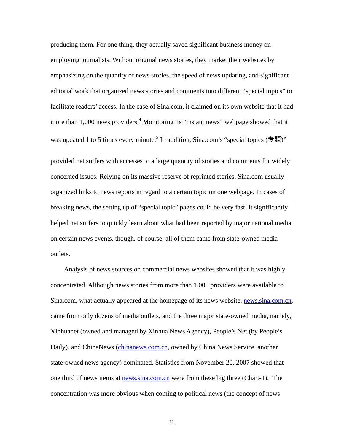producing them. For one thing, they actually saved significant business money on employing journalists. Without original news stories, they market their websites by emphasizing on the quantity of news stories, the speed of news updating, and significant editorial work that organized news stories and comments into different "special topics" to facilitate readers' access. In the case of Sina.com, it claimed on its own website that it had more than 1,000 news providers.<sup>4</sup> Monitoring its "instant news" webpage showed that it was updated 1 to 5 times every minute.<sup>5</sup> In addition, Sina.com's "special topics (专题)"

provided net surfers with accesses to a large quantity of stories and comments for widely concerned issues. Relying on its massive reserve of reprinted stories, Sina.com usually organized links to news reports in regard to a certain topic on one webpage. In cases of breaking news, the setting up of "special topic" pages could be very fast. It significantly helped net surfers to quickly learn about what had been reported by major national media on certain news events, though, of course, all of them came from state-owned media outlets.

Analysis of news sources on commercial news websites showed that it was highly concentrated. Although news stories from more than 1,000 providers were available to Sina.com, what actually appeared at the homepage of its news website, news.sina.com.cn, came from only dozens of media outlets, and the three major state-owned media, namely, Xinhuanet (owned and managed by Xinhua News Agency), People's Net (by People's Daily), and ChinaNews (chinanews.com.cn, owned by China News Service, another state-owned news agency) dominated. Statistics from November 20, 2007 showed that one third of news items at news.sina.com.cn were from these big three (Chart-1). The concentration was more obvious when coming to political news (the concept of news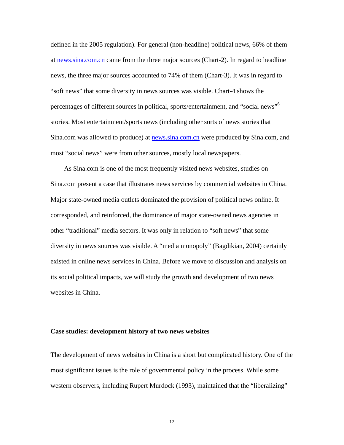defined in the 2005 regulation). For general (non-headline) political news, 66% of them at news.sina.com.cn came from the three major sources (Chart-2). In regard to headline news, the three major sources accounted to 74% of them (Chart-3). It was in regard to "soft news" that some diversity in news sources was visible. Chart-4 shows the percentages of different sources in political, sports/entertainment, and "social news"6 stories. Most entertainment/sports news (including other sorts of news stories that Sina.com was allowed to produce) at news.sina.com.cn were produced by Sina.com, and most "social news" were from other sources, mostly local newspapers.

As Sina.com is one of the most frequently visited news websites, studies on Sina.com present a case that illustrates news services by commercial websites in China. Major state-owned media outlets dominated the provision of political news online. It corresponded, and reinforced, the dominance of major state-owned news agencies in other "traditional" media sectors. It was only in relation to "soft news" that some diversity in news sources was visible. A "media monopoly" (Bagdikian, 2004) certainly existed in online news services in China. Before we move to discussion and analysis on its social political impacts, we will study the growth and development of two news websites in China.

#### **Case studies: development history of two news websites**

The development of news websites in China is a short but complicated history. One of the most significant issues is the role of governmental policy in the process. While some western observers, including Rupert Murdock (1993), maintained that the "liberalizing"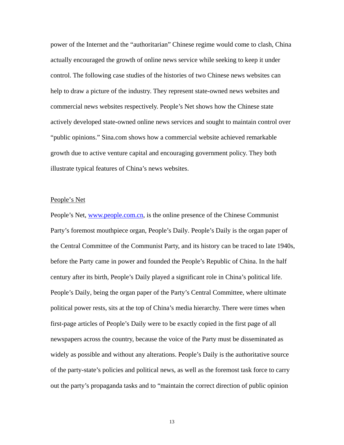power of the Internet and the "authoritarian" Chinese regime would come to clash, China actually encouraged the growth of online news service while seeking to keep it under control. The following case studies of the histories of two Chinese news websites can help to draw a picture of the industry. They represent state-owned news websites and commercial news websites respectively. People's Net shows how the Chinese state actively developed state-owned online news services and sought to maintain control over "public opinions." Sina.com shows how a commercial website achieved remarkable growth due to active venture capital and encouraging government policy. They both illustrate typical features of China's news websites.

#### People's Net

People's Net, www.people.com.cn, is the online presence of the Chinese Communist Party's foremost mouthpiece organ, People's Daily. People's Daily is the organ paper of the Central Committee of the Communist Party, and its history can be traced to late 1940s, before the Party came in power and founded the People's Republic of China. In the half century after its birth, People's Daily played a significant role in China's political life. People's Daily, being the organ paper of the Party's Central Committee, where ultimate political power rests, sits at the top of China's media hierarchy. There were times when first-page articles of People's Daily were to be exactly copied in the first page of all newspapers across the country, because the voice of the Party must be disseminated as widely as possible and without any alterations. People's Daily is the authoritative source of the party-state's policies and political news, as well as the foremost task force to carry out the party's propaganda tasks and to "maintain the correct direction of public opinion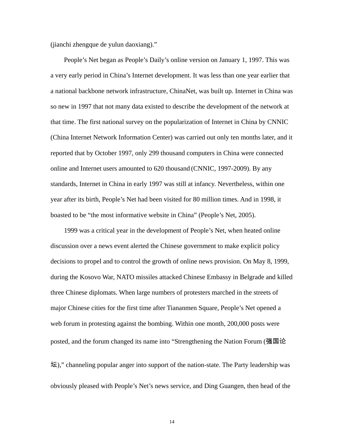(jianchi zhengque de yulun daoxiang)."

People's Net began as People's Daily's online version on January 1, 1997. This was a very early period in China's Internet development. It was less than one year earlier that a national backbone network infrastructure, ChinaNet, was built up. Internet in China was so new in 1997 that not many data existed to describe the development of the network at that time. The first national survey on the popularization of Internet in China by CNNIC (China Internet Network Information Center) was carried out only ten months later, and it reported that by October 1997, only 299 thousand computers in China were connected online and Internet users amounted to 620 thousand (CNNIC, 1997-2009). By any standards, Internet in China in early 1997 was still at infancy. Nevertheless, within one year after its birth, People's Net had been visited for 80 million times. And in 1998, it boasted to be "the most informative website in China" (People's Net, 2005).

1999 was a critical year in the development of People's Net, when heated online discussion over a news event alerted the Chinese government to make explicit policy decisions to propel and to control the growth of online news provision. On May 8, 1999, during the Kosovo War, NATO missiles attacked Chinese Embassy in Belgrade and killed three Chinese diplomats. When large numbers of protesters marched in the streets of major Chinese cities for the first time after Tiananmen Square, People's Net opened a web forum in protesting against the bombing. Within one month, 200,000 posts were posted, and the forum changed its name into "Strengthening the Nation Forum (强国论

坛)," channeling popular anger into support of the nation-state. The Party leadership was obviously pleased with People's Net's news service, and Ding Guangen, then head of the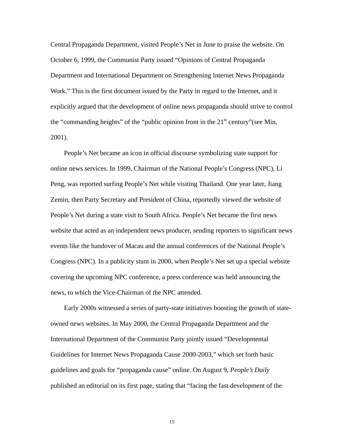Central Propaganda Department, visited People's Net in June to praise the website. On October 6, 1999, the Communist Party issued "Opinions of Central Propaganda Department and International Department on Strengthening Internet News Propaganda Work." This is the first document issued by the Party in regard to the Internet, and it explicitly argued that the development of online news propaganda should strive to control the "commanding heights" of the "public opinion front in the  $21<sup>st</sup>$  century"(see Min, 2001).

People's Net became an icon in official discourse symbolizing state support for online news services. In 1999, Chairman of the National People's Congress (NPC), Li Peng, was reported surfing People's Net while visiting Thailand. One year later, Jiang Zemin, then Party Secretary and President of China, reportedly viewed the website of People's Net during a state visit to South Africa. People's Net became the first news website that acted as an independent news producer, sending reporters to significant news events like the handover of Macau and the annual conferences of the National People's Congress (NPC). In a publicity stunt in 2000, when People's Net set up a special website covering the upcoming NPC conference, a press conference was held announcing the news, to which the Vice-Chairman of the NPC attended.

Early 2000s witnessed a series of party-state initiatives boosting the growth of stateowned news websites. In May 2000, the Central Propaganda Department and the International Department of the Communist Party jointly issued "Developmental Guidelines for Internet News Propaganda Cause 2000-2003," which set forth basic guidelines and goals for "propaganda cause" online. On August 9, *People's Daily* published an editorial on its first page, stating that "facing the fast development of the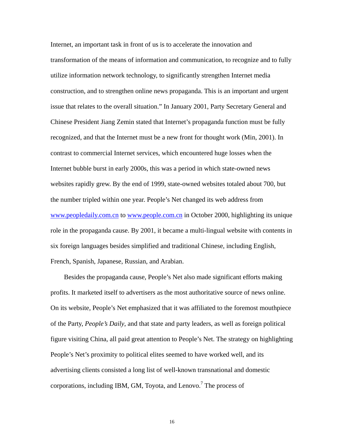Internet, an important task in front of us is to accelerate the innovation and transformation of the means of information and communication, to recognize and to fully utilize information network technology, to significantly strengthen Internet media construction, and to strengthen online news propaganda. This is an important and urgent issue that relates to the overall situation." In January 2001, Party Secretary General and Chinese President Jiang Zemin stated that Internet's propaganda function must be fully recognized, and that the Internet must be a new front for thought work (Min, 2001). In contrast to commercial Internet services, which encountered huge losses when the Internet bubble burst in early 2000s, this was a period in which state-owned news websites rapidly grew. By the end of 1999, state-owned websites totaled about 700, but the number tripled within one year. People's Net changed its web address from www.peopledaily.com.cn to www.people.com.cn in October 2000, highlighting its unique role in the propaganda cause. By 2001, it became a multi-lingual website with contents in six foreign languages besides simplified and traditional Chinese, including English, French, Spanish, Japanese, Russian, and Arabian.

Besides the propaganda cause, People's Net also made significant efforts making profits. It marketed itself to advertisers as the most authoritative source of news online. On its website, People's Net emphasized that it was affiliated to the foremost mouthpiece of the Party, *People's Daily*, and that state and party leaders, as well as foreign political figure visiting China, all paid great attention to People's Net. The strategy on highlighting People's Net's proximity to political elites seemed to have worked well, and its advertising clients consisted a long list of well-known transnational and domestic corporations, including IBM, GM, Toyota, and Lenovo.<sup>7</sup> The process of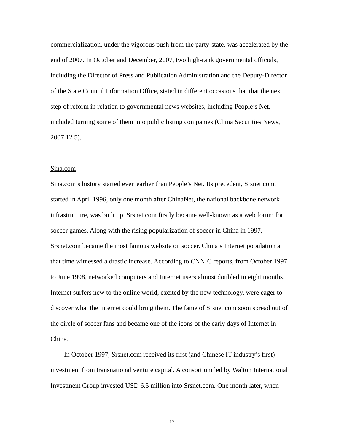commercialization, under the vigorous push from the party-state, was accelerated by the end of 2007. In October and December, 2007, two high-rank governmental officials, including the Director of Press and Publication Administration and the Deputy-Director of the State Council Information Office, stated in different occasions that that the next step of reform in relation to governmental news websites, including People's Net, included turning some of them into public listing companies (China Securities News, 2007 12 5).

#### Sina.com

Sina.com's history started even earlier than People's Net. Its precedent, Srsnet.com, started in April 1996, only one month after ChinaNet, the national backbone network infrastructure, was built up. Srsnet.com firstly became well-known as a web forum for soccer games. Along with the rising popularization of soccer in China in 1997, Srsnet.com became the most famous website on soccer. China's Internet population at that time witnessed a drastic increase. According to CNNIC reports, from October 1997 to June 1998, networked computers and Internet users almost doubled in eight months. Internet surfers new to the online world, excited by the new technology, were eager to discover what the Internet could bring them. The fame of Srsnet.com soon spread out of the circle of soccer fans and became one of the icons of the early days of Internet in China.

In October 1997, Srsnet.com received its first (and Chinese IT industry's first) investment from transnational venture capital. A consortium led by Walton International Investment Group invested USD 6.5 million into Srsnet.com. One month later, when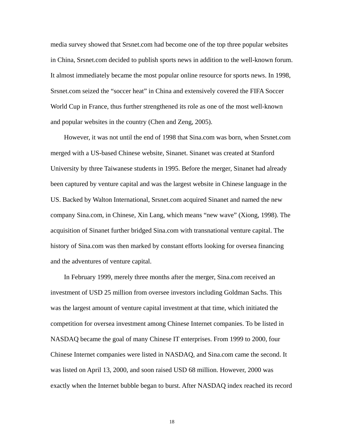media survey showed that Srsnet.com had become one of the top three popular websites in China, Srsnet.com decided to publish sports news in addition to the well-known forum. It almost immediately became the most popular online resource for sports news. In 1998, Srsnet.com seized the "soccer heat" in China and extensively covered the FIFA Soccer World Cup in France, thus further strengthened its role as one of the most well-known and popular websites in the country (Chen and Zeng, 2005).

However, it was not until the end of 1998 that Sina.com was born, when Srsnet.com merged with a US-based Chinese website, Sinanet. Sinanet was created at Stanford University by three Taiwanese students in 1995. Before the merger, Sinanet had already been captured by venture capital and was the largest website in Chinese language in the US. Backed by Walton International, Srsnet.com acquired Sinanet and named the new company Sina.com, in Chinese, Xin Lang, which means "new wave" (Xiong, 1998). The acquisition of Sinanet further bridged Sina.com with transnational venture capital. The history of Sina.com was then marked by constant efforts looking for oversea financing and the adventures of venture capital.

In February 1999, merely three months after the merger, Sina.com received an investment of USD 25 million from oversee investors including Goldman Sachs. This was the largest amount of venture capital investment at that time, which initiated the competition for oversea investment among Chinese Internet companies. To be listed in NASDAQ became the goal of many Chinese IT enterprises. From 1999 to 2000, four Chinese Internet companies were listed in NASDAQ, and Sina.com came the second. It was listed on April 13, 2000, and soon raised USD 68 million. However, 2000 was exactly when the Internet bubble began to burst. After NASDAQ index reached its record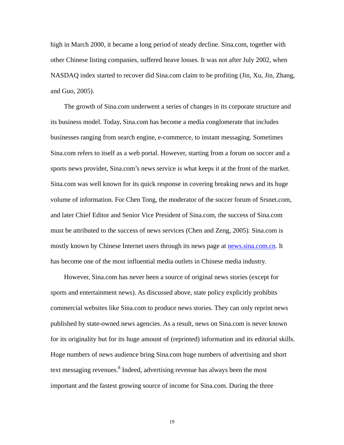high in March 2000, it became a long period of steady decline. Sina.com, together with other Chinese listing companies, suffered heave losses. It was not after July 2002, when NASDAQ index started to recover did Sina.com claim to be profiting (Jin, Xu, Jin, Zhang, and Guo, 2005).

The growth of Sina.com underwent a series of changes in its corporate structure and its business model. Today, Sina.com has become a media conglomerate that includes businesses ranging from search engine, e-commerce, to instant messaging. Sometimes Sina.com refers to itself as a web portal. However, starting from a forum on soccer and a sports news provider, Sina.com's news service is what keeps it at the front of the market. Sina.com was well known for its quick response in covering breaking news and its huge volume of information. For Chen Tong, the moderator of the soccer forum of Srsnet.com, and later Chief Editor and Senior Vice President of Sina.com, the success of Sina.com must be attributed to the success of news services (Chen and Zeng, 2005). Sina.com is mostly known by Chinese Internet users through its news page at news sina.com.cn. It has become one of the most influential media outlets in Chinese media industry.

However, Sina.com has never been a source of original news stories (except for sports and entertainment news). As discussed above, state policy explicitly prohibits commercial websites like Sina.com to produce news stories. They can only reprint news published by state-owned news agencies. As a result, news on Sina.com is never known for its originality but for its huge amount of (reprinted) information and its editorial skills. Huge numbers of news audience bring Sina.com huge numbers of advertising and short text messaging revenues.<sup>8</sup> Indeed, advertising revenue has always been the most important and the fastest growing source of income for Sina.com. During the three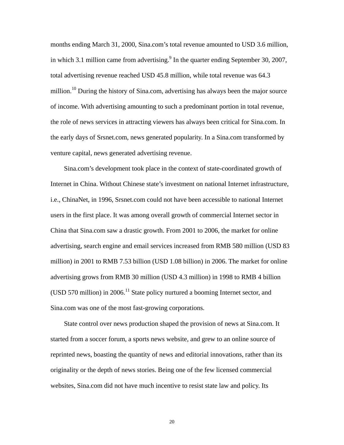months ending March 31, 2000, Sina.com's total revenue amounted to USD 3.6 million, in which 3.1 million came from advertising. $9$  In the quarter ending September 30, 2007, total advertising revenue reached USD 45.8 million, while total revenue was 64.3 million.<sup>10</sup> During the history of Sina.com, advertising has always been the major source of income. With advertising amounting to such a predominant portion in total revenue, the role of news services in attracting viewers has always been critical for Sina.com. In the early days of Srsnet.com, news generated popularity. In a Sina.com transformed by venture capital, news generated advertising revenue.

Sina.com's development took place in the context of state-coordinated growth of Internet in China. Without Chinese state's investment on national Internet infrastructure, i.e., ChinaNet, in 1996, Srsnet.com could not have been accessible to national Internet users in the first place. It was among overall growth of commercial Internet sector in China that Sina.com saw a drastic growth. From 2001 to 2006, the market for online advertising, search engine and email services increased from RMB 580 million (USD 83 million) in 2001 to RMB 7.53 billion (USD 1.08 billion) in 2006. The market for online advertising grows from RMB 30 million (USD 4.3 million) in 1998 to RMB 4 billion (USD 570 million) in 2006.<sup>11</sup> State policy nurtured a booming Internet sector, and Sina.com was one of the most fast-growing corporations.

State control over news production shaped the provision of news at Sina.com. It started from a soccer forum, a sports news website, and grew to an online source of reprinted news, boasting the quantity of news and editorial innovations, rather than its originality or the depth of news stories. Being one of the few licensed commercial websites, Sina.com did not have much incentive to resist state law and policy. Its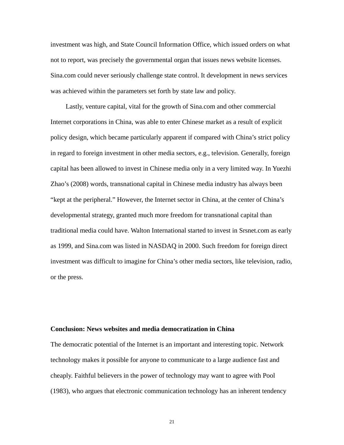investment was high, and State Council Information Office, which issued orders on what not to report, was precisely the governmental organ that issues news website licenses. Sina.com could never seriously challenge state control. It development in news services was achieved within the parameters set forth by state law and policy.

 Lastly, venture capital, vital for the growth of Sina.com and other commercial Internet corporations in China, was able to enter Chinese market as a result of explicit policy design, which became particularly apparent if compared with China's strict policy in regard to foreign investment in other media sectors, e.g., television. Generally, foreign capital has been allowed to invest in Chinese media only in a very limited way. In Yuezhi Zhao's (2008) words, transnational capital in Chinese media industry has always been "kept at the peripheral." However, the Internet sector in China, at the center of China's developmental strategy, granted much more freedom for transnational capital than traditional media could have. Walton International started to invest in Srsnet.com as early as 1999, and Sina.com was listed in NASDAQ in 2000. Such freedom for foreign direct investment was difficult to imagine for China's other media sectors, like television, radio, or the press.

#### **Conclusion: News websites and media democratization in China**

The democratic potential of the Internet is an important and interesting topic. Network technology makes it possible for anyone to communicate to a large audience fast and cheaply. Faithful believers in the power of technology may want to agree with Pool (1983), who argues that electronic communication technology has an inherent tendency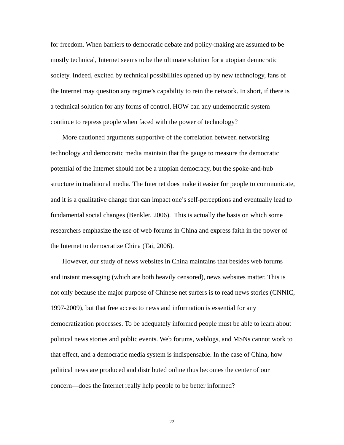for freedom. When barriers to democratic debate and policy-making are assumed to be mostly technical, Internet seems to be the ultimate solution for a utopian democratic society. Indeed, excited by technical possibilities opened up by new technology, fans of the Internet may question any regime's capability to rein the network. In short, if there is a technical solution for any forms of control, HOW can any undemocratic system continue to repress people when faced with the power of technology?

 More cautioned arguments supportive of the correlation between networking technology and democratic media maintain that the gauge to measure the democratic potential of the Internet should not be a utopian democracy, but the spoke-and-hub structure in traditional media. The Internet does make it easier for people to communicate, and it is a qualitative change that can impact one's self-perceptions and eventually lead to fundamental social changes (Benkler, 2006). This is actually the basis on which some researchers emphasize the use of web forums in China and express faith in the power of the Internet to democratize China (Tai, 2006).

 However, our study of news websites in China maintains that besides web forums and instant messaging (which are both heavily censored), news websites matter. This is not only because the major purpose of Chinese net surfers is to read news stories (CNNIC, 1997-2009), but that free access to news and information is essential for any democratization processes. To be adequately informed people must be able to learn about political news stories and public events. Web forums, weblogs, and MSNs cannot work to that effect, and a democratic media system is indispensable. In the case of China, how political news are produced and distributed online thus becomes the center of our concern—does the Internet really help people to be better informed?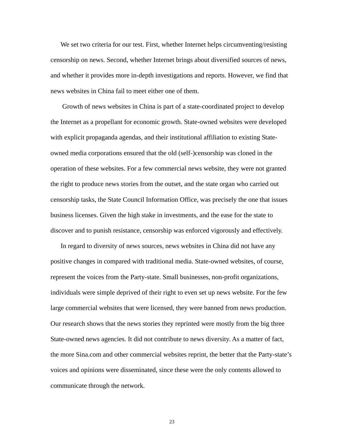We set two criteria for our test. First, whether Internet helps circumventing/resisting censorship on news. Second, whether Internet brings about diversified sources of news, and whether it provides more in-depth investigations and reports. However, we find that news websites in China fail to meet either one of them.

 Growth of news websites in China is part of a state-coordinated project to develop the Internet as a propellant for economic growth. State-owned websites were developed with explicit propaganda agendas, and their institutional affiliation to existing Stateowned media corporations ensured that the old (self-)censorship was cloned in the operation of these websites. For a few commercial news website, they were not granted the right to produce news stories from the outset, and the state organ who carried out censorship tasks, the State Council Information Office, was precisely the one that issues business licenses. Given the high stake in investments, and the ease for the state to discover and to punish resistance, censorship was enforced vigorously and effectively.

 In regard to diversity of news sources, news websites in China did not have any positive changes in compared with traditional media. State-owned websites, of course, represent the voices from the Party-state. Small businesses, non-profit organizations, individuals were simple deprived of their right to even set up news website. For the few large commercial websites that were licensed, they were banned from news production. Our research shows that the news stories they reprinted were mostly from the big three State-owned news agencies. It did not contribute to news diversity. As a matter of fact, the more Sina.com and other commercial websites reprint, the better that the Party-state's voices and opinions were disseminated, since these were the only contents allowed to communicate through the network.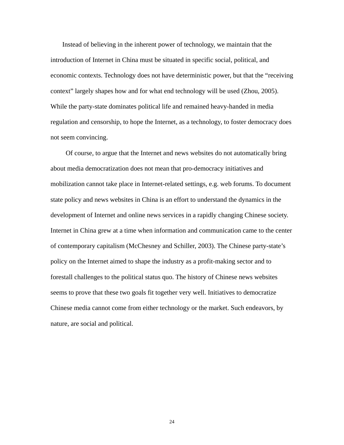Instead of believing in the inherent power of technology, we maintain that the introduction of Internet in China must be situated in specific social, political, and economic contexts. Technology does not have deterministic power, but that the "receiving context" largely shapes how and for what end technology will be used (Zhou, 2005). While the party-state dominates political life and remained heavy-handed in media regulation and censorship, to hope the Internet, as a technology, to foster democracy does not seem convincing.

 Of course, to argue that the Internet and news websites do not automatically bring about media democratization does not mean that pro-democracy initiatives and mobilization cannot take place in Internet-related settings, e.g. web forums. To document state policy and news websites in China is an effort to understand the dynamics in the development of Internet and online news services in a rapidly changing Chinese society. Internet in China grew at a time when information and communication came to the center of contemporary capitalism (McChesney and Schiller, 2003). The Chinese party-state's policy on the Internet aimed to shape the industry as a profit-making sector and to forestall challenges to the political status quo. The history of Chinese news websites seems to prove that these two goals fit together very well. Initiatives to democratize Chinese media cannot come from either technology or the market. Such endeavors, by nature, are social and political.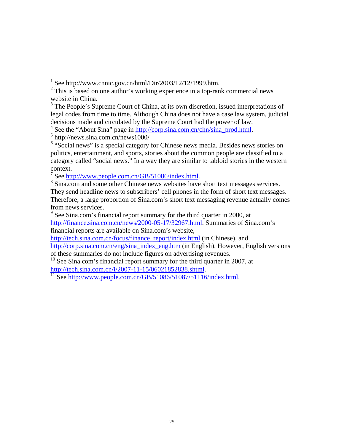$\overline{a}$ 

<sup>7</sup> See http://www.people.com.cn/GB/51086/index.html.<br><sup>8</sup> Sing com and some other Chinese news websites have

<sup>8</sup> Sina.com and some other Chinese news websites have short text messages services. They send headline news to subscribers' cell phones in the form of short text messages. Therefore, a large proportion of Sina.com's short text messaging revenue actually comes from news services.

financial reports are available on Sina.com's website,

http://tech.sina.com.cn/focus/finance\_report/index.html (in Chinese), and http://corp.sina.com.cn/eng/sina\_index\_eng.htm (in English). However, English versions

<sup>1</sup> See http://www.cnnic.gov.cn/html/Dir/2003/12/12/1999.htm.

<sup>&</sup>lt;sup>2</sup> This is based on one author's working experience in a top-rank commercial news website in China.

<sup>&</sup>lt;sup>3</sup> The People's Supreme Court of China, at its own discretion, issued interpretations of legal codes from time to time. Although China does not have a case law system, judicial decisions made and circulated by the Supreme Court had the power of law.

<sup>&</sup>lt;sup>4</sup> See the "About Sina" page in  $\frac{http://corp.sina.com.cn/chn/sina_prob.html}{http://corp.sina.com.cn/chn/sina_prob.html}$ .

http://news.sina.com.cn/news1000/

<sup>&</sup>lt;sup>6</sup> "Social news" is a special category for Chinese news media. Besides news stories on politics, entertainment, and sports, stories about the common people are classified to a category called "social news." In a way they are similar to tabloid stories in the western context.

 $9^9$  See Sina.com's financial report summary for the third quarter in 2000, at http://finance.sina.com.cn/news/2000-05-17/32967.html. Summaries of Sina.com's

of these summaries do not include figures on advertising revenues.

 $10$  See Sina.com's financial report summary for the third quarter in 2007, at http://tech.sina.com.cn/i/2007-11-15/06021852838.shtml.<br><sup>11</sup> See http://www.people.com.cn/GB/51086/51087/51116/index.html.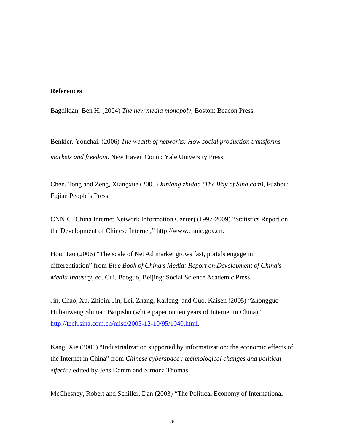#### **References**

 $\overline{a}$ 

Bagdikian, Ben H. (2004) *The new media monopoly*, Boston: Beacon Press.

Benkler, Youchai. (2006) *The wealth of networks: How social production transforms markets and freedom*. New Haven Conn.: Yale University Press.

Chen, Tong and Zeng, Xiangxue (2005) *Xinlang zhidao (The Way of Sina.com)*, Fuzhou: Fujian People's Press.

CNNIC (China Internet Network Information Center) (1997-2009) "Statistics Report on the Development of Chinese Internet," http://www.cnnic.gov.cn.

Hou, Tao (2006) "The scale of Net Ad market grows fast, portals engage in differentiation" from *Blue Book of China's Media: Report on Development of China's Media Industry*, ed. Cui, Baoguo, Beijing: Social Science Academic Press.

Jin, Chao, Xu, Zhibin, Jin, Lei, Zhang, Kaifeng, and Guo, Kaisen (2005) "Zhongguo Hulianwang Shinian Baipishu (white paper on ten years of Internet in China)," http://tech.sina.com.cn/misc/2005-12-10/95/1040.html.

Kang, Xie (2006) "Industrialization supported by informatization: the economic effects of the Internet in China" from *Chinese cyberspace : technological changes and political effects* / edited by Jens Damm and Simona Thomas.

McChesney, Robert and Schiller, Dan (2003) "The Political Economy of International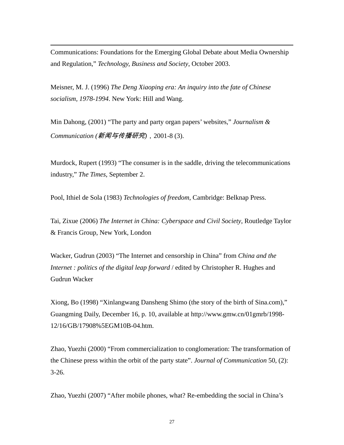Communications: Foundations for the Emerging Global Debate about Media Ownership and Regulation," *Technology, Business and Society*, October 2003.

Meisner, M. J. (1996) *The Deng Xiaoping era: An inquiry into the fate of Chinese socialism, 1978-1994*. New York: Hill and Wang.

 $\overline{a}$ 

Min Dahong, (2001) "The party and party organ papers' websites," *Journalism & Communication (*新闻与传播研究*)*,2001-8 (3).

Murdock, Rupert (1993) "The consumer is in the saddle, driving the telecommunications industry," *The Times*, September 2.

Pool, Ithiel de Sola (1983) *Technologies of freedom*, Cambridge: Belknap Press.

Tai, Zixue (2006) *The Internet in China: Cyberspace and Civil Society*, Routledge Taylor & Francis Group, New York, London

Wacker, Gudrun (2003) "The Internet and censorship in China" from *China and the Internet : politics of the digital leap forward* / edited by Christopher R. Hughes and Gudrun Wacker

Xiong, Bo (1998) "Xinlangwang Dansheng Shimo (the story of the birth of Sina.com)," Guangming Daily, December 16, p. 10, available at http://www.gmw.cn/01gmrb/1998- 12/16/GB/17908%5EGM10B-04.htm.

Zhao, Yuezhi (2000) "From commercialization to conglomeration: The transformation of the Chinese press within the orbit of the party state". *Journal of Communication* 50, (2):  $3-26.$ 

Zhao, Yuezhi (2007) "After mobile phones, what? Re-embedding the social in China's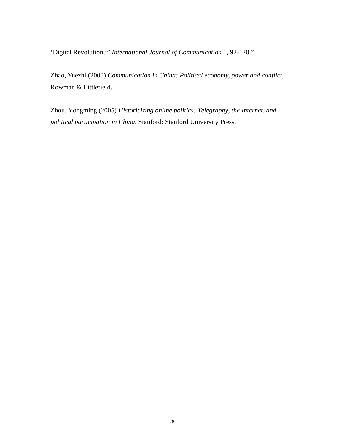'Digital Revolution,'" *International Journal of Communication* 1, 92-120."

 $\overline{a}$ 

Zhao, Yuezhi (2008) *Communication in China: Political economy, power and conflict*, Rowman & Littlefield.

Zhou, Yongming (2005) *Historicizing online politics: Telegraphy, the Internet, and political participation in China*, Stanford: Stanford University Press.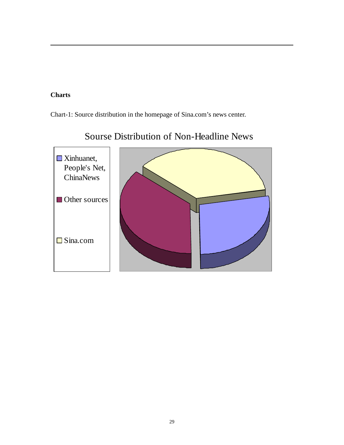## **Charts**

 $\overline{a}$ 

Chart-1: Source distribution in the homepage of Sina.com's news center.



# Sourse Distribution of Non-Headline News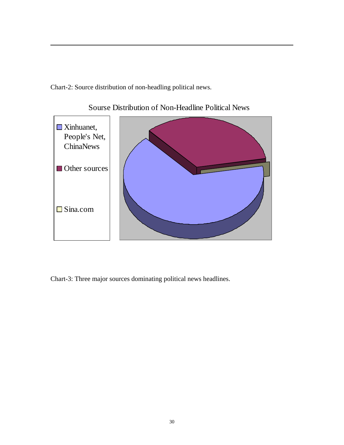Chart-2: Source distribution of non-headling political news.

 $\overline{a}$ 



Sourse Distribution of Non-Headline Political News

Chart-3: Three major sources dominating political news headlines.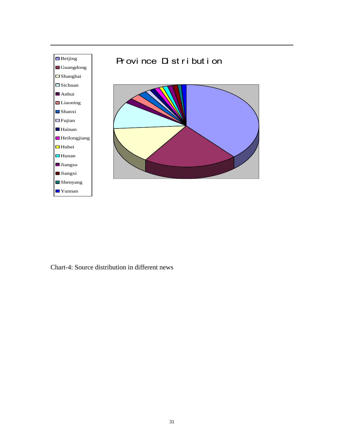

Chart-4: Source distribution in different news